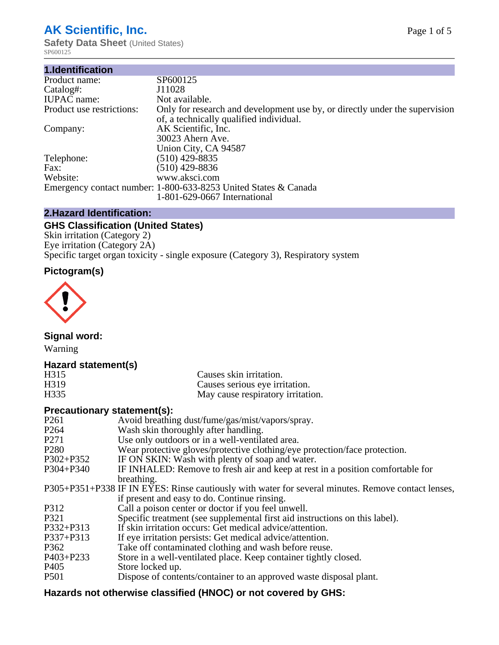# **AK Scientific, Inc.**

**Safety Data Sheet** (United States) SP600125

| 1.Identification          |                                                                                                                        |
|---------------------------|------------------------------------------------------------------------------------------------------------------------|
| Product name:             | SP600125                                                                                                               |
| Catalog#:                 | J11028                                                                                                                 |
| <b>IUPAC</b> name:        | Not available.                                                                                                         |
| Product use restrictions: | Only for research and development use by, or directly under the supervision<br>of, a technically qualified individual. |
| Company:                  | AK Scientific, Inc.<br>30023 Ahern Ave.<br>Union City, CA 94587                                                        |
| Telephone:                | $(510)$ 429-8835                                                                                                       |
| Fax:                      | (510) 429-8836                                                                                                         |
| Website:                  | www.aksci.com                                                                                                          |
|                           | Emergency contact number: 1-800-633-8253 United States & Canada<br>1-801-629-0667 International                        |

# **2.Hazard Identification:**

# **GHS Classification (United States)**

Skin irritation (Category 2) Eye irritation (Category 2A) Specific target organ toxicity - single exposure (Category 3), Respiratory system

# **Pictogram(s)**



**Signal word:**

Warning

# **Hazard statement(s)**

| H <sub>315</sub>  | Causes skin irritation.           |
|-------------------|-----------------------------------|
| H <sub>3</sub> 19 | Causes serious eye irritation.    |
| H335              | May cause respiratory irritation. |

# **Precautionary statement(s):**

| P <sub>261</sub> | Avoid breathing dust/fume/gas/mist/vapors/spray.                                                   |
|------------------|----------------------------------------------------------------------------------------------------|
| P <sub>264</sub> | Wash skin thoroughly after handling.                                                               |
| P <sub>271</sub> | Use only outdoors or in a well-ventilated area.                                                    |
| P <sub>280</sub> | Wear protective gloves/protective clothing/eye protection/face protection.                         |
| P302+P352        | IF ON SKIN: Wash with plenty of soap and water.                                                    |
| $P304 + P340$    | IF INHALED: Remove to fresh air and keep at rest in a position comfortable for                     |
|                  | breathing.                                                                                         |
|                  | P305+P351+P338 IF IN EYES: Rinse cautiously with water for several minutes. Remove contact lenses, |
|                  | if present and easy to do. Continue rinsing.                                                       |
| P312             | Call a poison center or doctor if you feel unwell.                                                 |
| P321             | Specific treatment (see supplemental first aid instructions on this label).                        |
| P332+P313        | If skin irritation occurs: Get medical advice/attention.                                           |
| P337+P313        | If eye irritation persists: Get medical advice/attention.                                          |
| P362             | Take off contaminated clothing and wash before reuse.                                              |
| $P403 + P233$    | Store in a well-ventilated place. Keep container tightly closed.                                   |
| P <sub>405</sub> | Store locked up.                                                                                   |
| P <sub>501</sub> | Dispose of contents/container to an approved waste disposal plant.                                 |
|                  |                                                                                                    |

# **Hazards not otherwise classified (HNOC) or not covered by GHS:**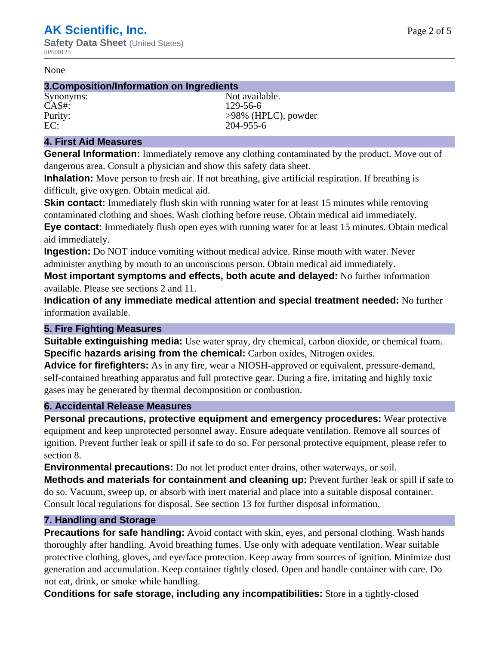#### None

#### **3.Composition/Information on Ingredients**

CAS#: 129-56-6

Synonyms: Not available. Purity:  $>98\%$  (HPLC), powder EC: 204-955-6

## **4. First Aid Measures**

**General Information:** Immediately remove any clothing contaminated by the product. Move out of dangerous area. Consult a physician and show this safety data sheet.

**Inhalation:** Move person to fresh air. If not breathing, give artificial respiration. If breathing is difficult, give oxygen. Obtain medical aid.

**Skin contact:** Immediately flush skin with running water for at least 15 minutes while removing contaminated clothing and shoes. Wash clothing before reuse. Obtain medical aid immediately. **Eye contact:** Immediately flush open eyes with running water for at least 15 minutes. Obtain medical aid immediately.

**Ingestion:** Do NOT induce vomiting without medical advice. Rinse mouth with water. Never administer anything by mouth to an unconscious person. Obtain medical aid immediately.

**Most important symptoms and effects, both acute and delayed:** No further information available. Please see sections 2 and 11.

**Indication of any immediate medical attention and special treatment needed:** No further information available.

## **5. Fire Fighting Measures**

**Suitable extinguishing media:** Use water spray, dry chemical, carbon dioxide, or chemical foam. **Specific hazards arising from the chemical:** Carbon oxides, Nitrogen oxides.

**Advice for firefighters:** As in any fire, wear a NIOSH-approved or equivalent, pressure-demand, self-contained breathing apparatus and full protective gear. During a fire, irritating and highly toxic gases may be generated by thermal decomposition or combustion.

## **6. Accidental Release Measures**

**Personal precautions, protective equipment and emergency procedures:** Wear protective equipment and keep unprotected personnel away. Ensure adequate ventilation. Remove all sources of ignition. Prevent further leak or spill if safe to do so. For personal protective equipment, please refer to section 8.

**Environmental precautions:** Do not let product enter drains, other waterways, or soil.

**Methods and materials for containment and cleaning up:** Prevent further leak or spill if safe to do so. Vacuum, sweep up, or absorb with inert material and place into a suitable disposal container. Consult local regulations for disposal. See section 13 for further disposal information.

## **7. Handling and Storage**

**Precautions for safe handling:** Avoid contact with skin, eyes, and personal clothing. Wash hands thoroughly after handling. Avoid breathing fumes. Use only with adequate ventilation. Wear suitable protective clothing, gloves, and eye/face protection. Keep away from sources of ignition. Minimize dust generation and accumulation. Keep container tightly closed. Open and handle container with care. Do not eat, drink, or smoke while handling.

**Conditions for safe storage, including any incompatibilities:** Store in a tightly-closed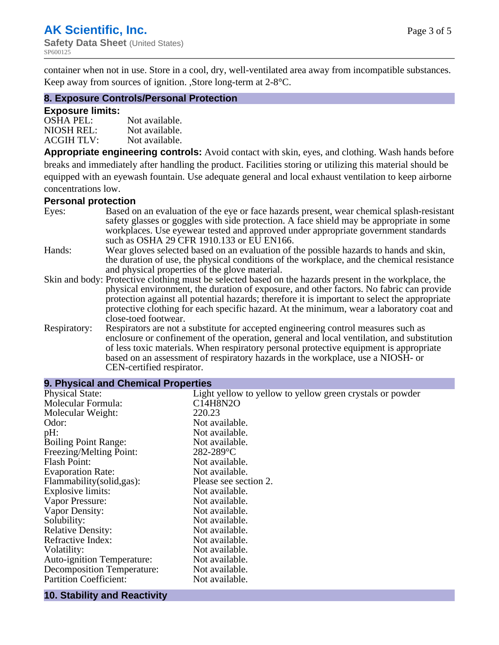container when not in use. Store in a cool, dry, well-ventilated area away from incompatible substances. Keep away from sources of ignition. ,Store long-term at 2-8°C.

#### **8. Exposure Controls/Personal Protection**

#### **Exposure limits:**

| $OSHA$ PEL:       | Not available. |
|-------------------|----------------|
| NIOSH REL:        | Not available. |
| <b>ACGIH TLV:</b> | Not available. |

**Appropriate engineering controls:** Avoid contact with skin, eyes, and clothing. Wash hands before breaks and immediately after handling the product. Facilities storing or utilizing this material should be equipped with an eyewash fountain. Use adequate general and local exhaust ventilation to keep airborne concentrations low.

#### **Personal protection**

| Eyes:        | Based on an evaluation of the eye or face hazards present, wear chemical splash-resistant<br>safety glasses or goggles with side protection. A face shield may be appropriate in some<br>workplaces. Use eyewear tested and approved under appropriate government standards |
|--------------|-----------------------------------------------------------------------------------------------------------------------------------------------------------------------------------------------------------------------------------------------------------------------------|
|              | such as OSHA 29 CFR 1910.133 or EU EN166.                                                                                                                                                                                                                                   |
| Hands:       | Wear gloves selected based on an evaluation of the possible hazards to hands and skin,                                                                                                                                                                                      |
|              | the duration of use, the physical conditions of the workplace, and the chemical resistance                                                                                                                                                                                  |
|              | and physical properties of the glove material.                                                                                                                                                                                                                              |
|              | Skin and body: Protective clothing must be selected based on the hazards present in the workplace, the                                                                                                                                                                      |
|              | physical environment, the duration of exposure, and other factors. No fabric can provide                                                                                                                                                                                    |
|              | protection against all potential hazards; therefore it is important to select the appropriate                                                                                                                                                                               |
|              | protective clothing for each specific hazard. At the minimum, wear a laboratory coat and                                                                                                                                                                                    |
|              | close-toed footwear.                                                                                                                                                                                                                                                        |
| Respiratory: | Respirators are not a substitute for accepted engineering control measures such as<br>enclosure or confinement of the operation, general and local ventilation, and substitution                                                                                            |
|              | of less toxic materials. When respiratory personal protective equipment is appropriate                                                                                                                                                                                      |
|              | based on an assessment of respiratory hazards in the workplace, use a NIOSH- or                                                                                                                                                                                             |
|              | CEN-certified respirator.                                                                                                                                                                                                                                                   |

| 9. Physical and Chemical Properties |                                                           |
|-------------------------------------|-----------------------------------------------------------|
| <b>Physical State:</b>              | Light yellow to yellow to yellow green crystals or powder |
| Molecular Formula:                  | C14H8N2O                                                  |
| Molecular Weight:                   | 220.23                                                    |
| Odor:                               | Not available.                                            |
| pH:                                 | Not available.                                            |
| <b>Boiling Point Range:</b>         | Not available.                                            |
| Freezing/Melting Point:             | $282 - 289$ °C                                            |
| <b>Flash Point:</b>                 | Not available.                                            |
| <b>Evaporation Rate:</b>            | Not available.                                            |
| Flammability(solid,gas):            | Please see section 2.                                     |
| Explosive limits:                   | Not available.                                            |
| Vapor Pressure:                     | Not available.                                            |
| Vapor Density:                      | Not available.                                            |
| Solubility:                         | Not available.                                            |
| <b>Relative Density:</b>            | Not available.                                            |
| Refractive Index:                   | Not available.                                            |
| Volatility:                         | Not available.                                            |
| <b>Auto-ignition Temperature:</b>   | Not available.                                            |
| <b>Decomposition Temperature:</b>   | Not available.                                            |
| <b>Partition Coefficient:</b>       | Not available.                                            |

#### **10. Stability and Reactivity**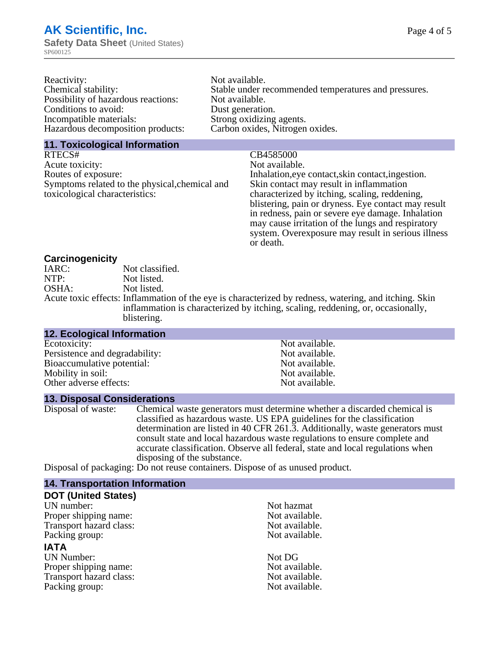| Reactivity:                         | Not available.                                       |
|-------------------------------------|------------------------------------------------------|
| Chemical stability:                 | Stable under recommended temperatures and pressures. |
| Possibility of hazardous reactions: | Not available.                                       |
| Conditions to avoid:                | Dust generation.                                     |
| Incompatible materials:             | Strong oxidizing agents.                             |
| Hazardous decomposition products:   | Carbon oxides, Nitrogen oxides.                      |
|                                     |                                                      |

#### **11. Toxicological Information**

RTECS# CB4585000 Acute toxicity: Not available.<br>
Routes of exposure: This is a multiple in the link of exposure in the link of the link of exposure. Symptoms related to the physical,chemical and toxicological characteristics:

Inhalation,eye contact, skin contact, ingestion.

Skin contact may result in inflammation characterized by itching, scaling, reddening, blistering, pain or dryness. Eye contact may result in redness, pain or severe eye damage. Inhalation may cause irritation of the lungs and respiratory system. Overexposure may result in serious illness or death.

#### **Carcinogenicity**

| IARC: | Not classified.                                                                                       |
|-------|-------------------------------------------------------------------------------------------------------|
| NTP:  | Not listed.                                                                                           |
| OSHA: | Not listed.                                                                                           |
|       | Acute toxic effects: Inflammation of the eye is characterized by redness, watering, and itching. Skin |
|       | inflammation is characterized by itching, scaling, reddening, or, occasionally,                       |
|       | blistering.                                                                                           |

| <b>12. Ecological Information</b> |                |  |
|-----------------------------------|----------------|--|
| Ecotoxicity:                      | Not available. |  |
| Persistence and degradability:    | Not available. |  |
| Bioaccumulative potential:        | Not available. |  |
| Mobility in soil:                 | Not available. |  |
| Other adverse effects:            | Not available. |  |

#### **13. Disposal Considerations**

Disposal of waste: Chemical waste generators must determine whether a discarded chemical is classified as hazardous waste. US EPA guidelines for the classification determination are listed in 40 CFR 261.3. Additionally, waste generators must consult state and local hazardous waste regulations to ensure complete and accurate classification. Observe all federal, state and local regulations when disposing of the substance.

Disposal of packaging: Do not reuse containers. Dispose of as unused product.

| <b>14. Transportation Information</b> |                |  |
|---------------------------------------|----------------|--|
| <b>DOT (United States)</b>            |                |  |
| UN number:                            | Not hazmat     |  |
| Proper shipping name:                 | Not available. |  |
| Transport hazard class:               | Not available. |  |
| Packing group:                        | Not available. |  |
| <b>IATA</b>                           |                |  |
| <b>UN Number:</b>                     | Not DG         |  |
| Proper shipping name:                 | Not available. |  |
| Transport hazard class:               | Not available. |  |
| Packing group:                        | Not available. |  |
|                                       |                |  |